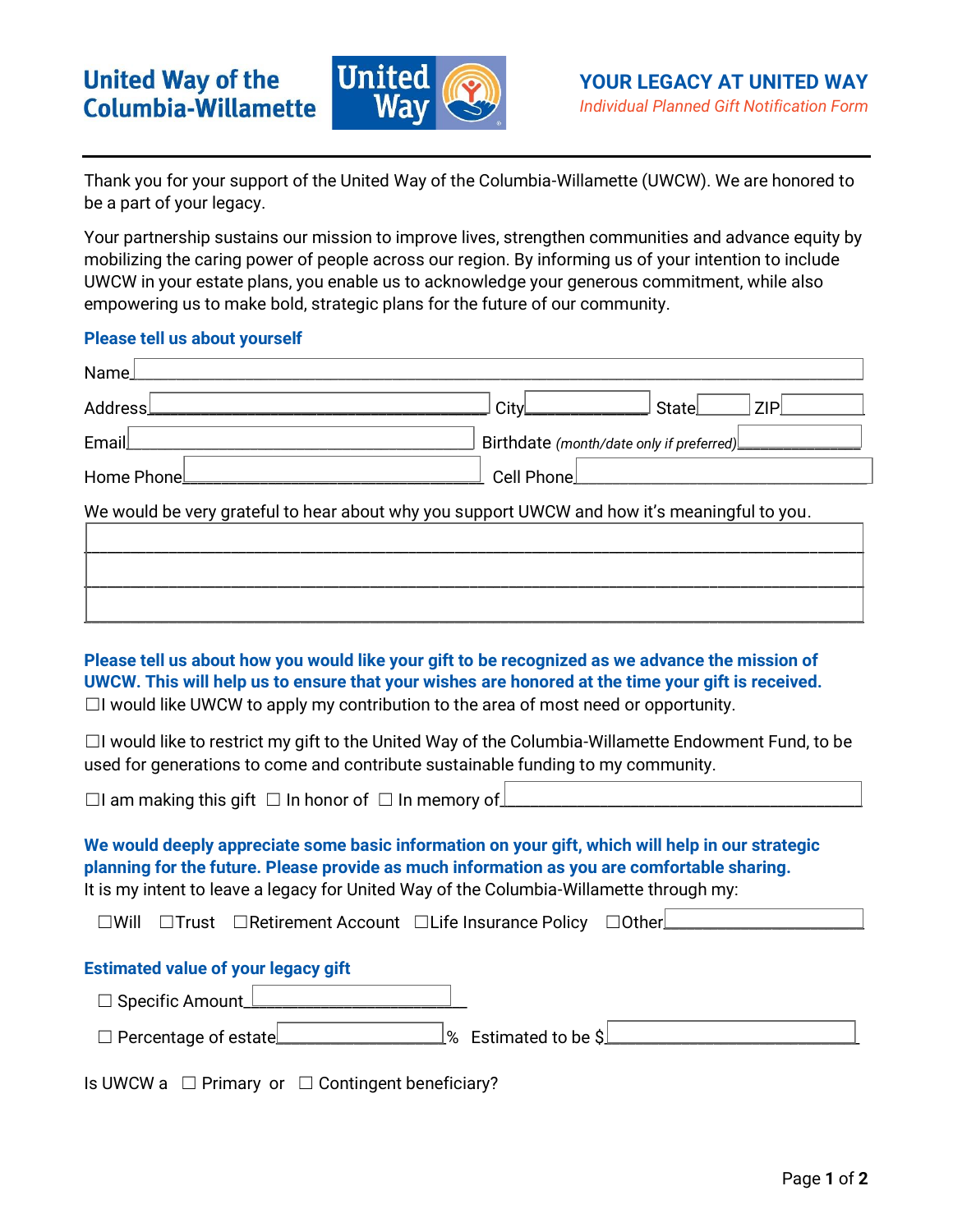

Thank you for your support of the United Way of the Columbia-Willamette (UWCW). We are honored to be a part of your legacy.

Your partnership sustains our mission to improve lives, strengthen communities and advance equity by mobilizing the caring power of people across our region. By informing us of your intention to include UWCW in your estate plans, you enable us to acknowledge your generous commitment, while also empowering us to make bold, strategic plans for the future of our community.

# **Please tell us about yourself**

| Name                                                                                                                                                                                                                                                                                             |                                          |       |            |
|--------------------------------------------------------------------------------------------------------------------------------------------------------------------------------------------------------------------------------------------------------------------------------------------------|------------------------------------------|-------|------------|
| <b>Address</b>                                                                                                                                                                                                                                                                                   | City                                     | State | <b>ZIP</b> |
| Email                                                                                                                                                                                                                                                                                            | Birthdate (month/date only if preferred) |       |            |
| Home Phone                                                                                                                                                                                                                                                                                       | <b>Cell Phone</b>                        |       |            |
| We would be very grateful to hear about why you support UWCW and how it's meaningful to you.                                                                                                                                                                                                     |                                          |       |            |
|                                                                                                                                                                                                                                                                                                  |                                          |       |            |
|                                                                                                                                                                                                                                                                                                  |                                          |       |            |
|                                                                                                                                                                                                                                                                                                  |                                          |       |            |
| Please tell us about how you would like your gift to be recognized as we advance the mission of<br>UWCW. This will help us to ensure that your wishes are honored at the time your gift is received.<br>$\Box$ would like UWCW to apply my contribution to the area of most need or opportunity. |                                          |       |            |
| $\Box$ would like to restrict my gift to the United Way of the Columbia-Willamette Endowment Fund, to be<br>used for generations to come and contribute sustainable funding to my community.                                                                                                     |                                          |       |            |
| $\Box$ am making this gift $\Box$ In honor of $\Box$ In memory of                                                                                                                                                                                                                                |                                          |       |            |
| We would deeply appreciate some basic information on your gift, which will help in our strategic<br>planning for the future. Please provide as much information as you are comfortable sharing.<br>It is my intent to leave a legacy for United Way of the Columbia-Willamette through my:       |                                          |       |            |
| □Trust □Retirement Account □Life Insurance Policy □Dther<br>$\square$ Will                                                                                                                                                                                                                       |                                          |       |            |
| <b>Estimated value of your legacy gift</b><br>□ Specific Amount                                                                                                                                                                                                                                  |                                          |       |            |
| $\Box$ Percentage of estate                                                                                                                                                                                                                                                                      | % Estimated to be \$                     |       |            |
| □ Primary or □ Contingent beneficiary?<br>Is UWCW a                                                                                                                                                                                                                                              |                                          |       |            |